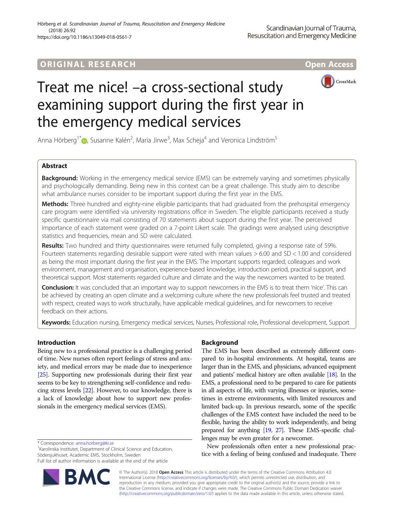# ORIGINA L R E S EA RCH Open Access



# Treat me nice! –a cross-sectional study examining support during the first year in the emergency medical services

Anna Hörberg $^1$   $\textcircled{\tiny{\bullet}}$ [,](http://orcid.org/0000-0003-3114-5846) Susanne Kalén $^2$ , Maria Jirwe $^3$ , Max Scheja $^4$  and Veronica Lindström $^5$ 

# Abstract

**Background:** Working in the emergency medical service (EMS) can be extremely varying and sometimes physically and psychologically demanding. Being new in this context can be a great challenge. This study aim to describe what ambulance nurses consider to be important support during the first year in the EMS.

Methods: Three hundred and eighty-nine eligible participants that had graduated from the prehospital emergency care program were identified via university registrations office in Sweden. The eligible participants received a study specific questionnaire via mail consisting of 70 statements about support during the first year. The perceived importance of each statement were graded on a 7-point Likert scale. The gradings were analysed using descriptive statistics and frequencies, mean and SD were calculated.

Results: Two hundred and thirty questionnaires were returned fully completed, giving a response rate of 59%. Fourteen statements regarding desirable support were rated with mean values > 6.00 and SD < 1.00 and considered as being the most important during the first year in the EMS. The important supports regarded; colleagues and work environment, management and organisation, experience-based knowledge, introduction period, practical support, and theoretical support. Most statements regarded culture and climate and the way the newcomers wanted to be treated.

**Conclusion:** It was concluded that an important way to support newcomers in the EMS is to treat them 'nice'. This can be achieved by creating an open climate and a welcoming culture where the new professionals feel trusted and treated with respect, created ways to work structurally, have applicable medical guidelines, and for newcomers to receive feedback on their actions.

Keywords: Education nursing, Emergency medical services, Nurses, Professional role, Professional development, Support

## Introduction

Being new to a professional practice is a challenging period of time. New nurses often report feelings of stress and anxiety, and medical errors may be made due to inexperience [[25](#page-8-0)]. Supporting new professionals during their first year seems to be key to strengthening self-confidence and reducing stress levels [[22](#page-8-0)]. However, to our knowledge, there is a lack of knowledge about how to support new professionals in the emergency medical services (EMS).

<sup>1</sup> Karolinska Institutet, Department of Clinical Science and Education, Södersjukhuset, Academic EMS, Stockholm, Sweden

Full list of author information is available at the end of the article



# Background

The EMS has been described as extremely different compared to in-hospital environments. At hospital, teams are larger than in the EMS, and physicians, advanced equipment and patients' medical history are often available [\[18\]](#page-8-0). In the EMS, a professional need to be prepared to care for patients in all aspects of life, with varying illnesses or injuries, sometimes in extreme environments, with limited resources and limited back-up. In previous research, some of the specific challenges of the EMS context have included the need to be flexible, having the ability to work independently, and being prepared for anything [[19,](#page-8-0) [27\]](#page-8-0). These EMS-specific challenges may be even greater for a newcomer.

New professionals often enter a new professional practice with a feeling of being confused and inadequate. There

© The Author(s). 2018 Open Access This article is distributed under the terms of the Creative Commons Attribution 4.0 International License [\(http://creativecommons.org/licenses/by/4.0/](http://creativecommons.org/licenses/by/4.0/)), which permits unrestricted use, distribution, and reproduction in any medium, provided you give appropriate credit to the original author(s) and the source, provide a link to the Creative Commons license, and indicate if changes were made. The Creative Commons Public Domain Dedication waiver [\(http://creativecommons.org/publicdomain/zero/1.0/](http://creativecommons.org/publicdomain/zero/1.0/)) applies to the data made available in this article, unless otherwise stated.

<sup>\*</sup> Correspondence: [anna.horberg@ki.se](mailto:anna.horberg@ki.se) <sup>1</sup>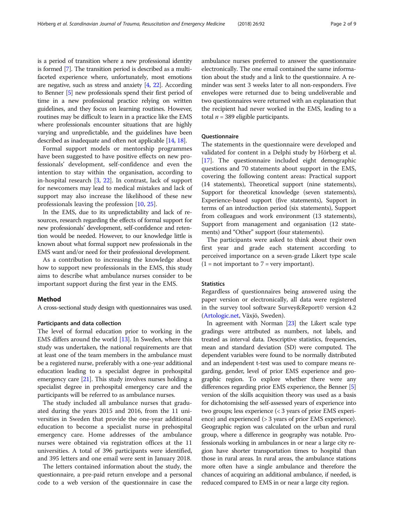is a period of transition where a new professional identity is formed [[7\]](#page-8-0). The transition period is described as a multifaceted experience where, unfortunately, most emotions are negative, such as stress and anxiety  $[4, 22]$  $[4, 22]$  $[4, 22]$ . According to Benner [[5](#page-8-0)] new professionals spend their first period of time in a new professional practice relying on written guidelines, and they focus on learning routines. However, routines may be difficult to learn in a practice like the EMS where professionals encounter situations that are highly varying and unpredictable, and the guidelines have been described as inadequate and often not applicable [\[14](#page-8-0), [18\]](#page-8-0).

Formal support models or mentorship programmes have been suggested to have positive effects on new professionals' development, self-confidence and even the intention to stay within the organisation, according to in-hospital research [\[3](#page-8-0), [22](#page-8-0)]. In contrast, lack of support for newcomers may lead to medical mistakes and lack of support may also increase the likelihood of these new professionals leaving the profession [[10](#page-8-0), [25](#page-8-0)].

In the EMS, due to its unpredictability and lack of resources, research regarding the effects of formal support for new professionals' development, self-confidence and retention would be needed. However, to our knowledge little is known about what formal support new professionals in the EMS want and/or need for their professional development.

As a contribution to increasing the knowledge about how to support new professionals in the EMS, this study aims to describe what ambulance nurses consider to be important support during the first year in the EMS.

### Method

A cross-sectional study design with questionnaires was used.

#### Participants and data collection

The level of formal education prior to working in the EMS differs around the world [[13](#page-8-0)]. In Sweden, where this study was undertaken, the national requirements are that at least one of the team members in the ambulance must be a registered nurse, preferably with a one-year additional education leading to a specialist degree in prehospital emergency care [[21](#page-8-0)]. This study involves nurses holding a specialist degree in prehospital emergency care and the participants will be referred to as ambulance nurses.

The study included all ambulance nurses that graduated during the years 2015 and 2016, from the 11 universities in Sweden that provide the one-year additional education to become a specialist nurse in prehospital emergency care. Home addresses of the ambulance nurses were obtained via registration offices at the 11 universities. A total of 396 participants were identified, and 395 letters and one email were sent in January 2018.

The letters contained information about the study, the questionnaire, a pre-paid return envelope and a personal code to a web version of the questionnaire in case the ambulance nurses preferred to answer the questionnaire electronically. The one email contained the same information about the study and a link to the questionnaire. A reminder was sent 3 weeks later to all non-responders. Five envelopes were returned due to being undeliverable and two questionnaires were returned with an explanation that the recipient had never worked in the EMS, leading to a total  $n = 389$  eligible participants.

#### **Ouestionnaire**

The statements in the questionnaire were developed and validated for content in a Delphi study by Hörberg et al. [[17\]](#page-8-0). The questionnaire included eight demographic questions and 70 statements about support in the EMS, covering the following content areas: Practical support (14 statements), Theoretical support (nine statements), Support for theoretical knowledge (seven statements), Experience-based support (five statements), Support in terms of an introduction period (six statements), Support from colleagues and work environment (13 statements), Support from management and organisation (12 statements) and "Other" support (four statements).

The participants were asked to think about their own first year and grade each statement according to perceived importance on a seven-grade Likert type scale  $(1 = not important to 7 = very important).$ 

#### **Statistics**

Regardless of questionnaires being answered using the paper version or electronically, all data were registered in the survey tool software Survey&Report© version 4.2 ([Artologic.net](http://artologic.net), Växjö, Sweden).

In agreement with Norman [\[23\]](#page-8-0) the Likert scale type gradings were attributed as numbers, not labels, and treated as interval data. Descriptive statistics, frequencies, mean and standard deviation (SD) were computed. The dependent variables were found to be normally distributed and an independent t-test was used to compare means regarding, gender, level of prior EMS experience and geographic region. To explore whether there were any differences regarding prior EMS experience, the Benner [[5](#page-8-0)] version of the skills acquisition theory was used as a basis for dichotomising the self-assessed years of experience into two groups; less experience (< 3 years of prior EMS experience) and experienced (> 3 years of prior EMS experience). Geographic region was calculated on the urban and rural group, where a difference in geography was notable. Professionals working in ambulances in or near a large city region have shorter transportation times to hospital than those in rural areas. In rural areas, the ambulance stations more often have a single ambulance and therefore the chances of acquiring an additional ambulance, if needed, is reduced compared to EMS in or near a large city region.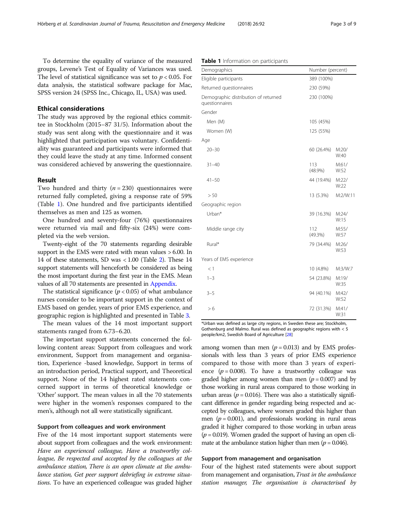To determine the equality of variance of the measured groups, Levene's Test of Equality of Variances was used. The level of statistical significance was set to  $p < 0.05$ . For data analysis, the statistical software package for Mac, SPSS version 24 (SPSS Inc., Chicago, IL, USA) was used.

#### Ethical considerations

The study was approved by the regional ethics committee in Stockholm (2015–87 31/5). Information about the study was sent along with the questionnaire and it was highlighted that participation was voluntary. Confidentiality was guaranteed and participants were informed that they could leave the study at any time. Informed consent was considered achieved by answering the questionnaire.

#### Result

Two hundred and thirty  $(n = 230)$  questionnaires were returned fully completed, giving a response rate of 59% (Table 1). One hundred and five participants identified themselves as men and 125 as women.

One hundred and seventy-four (76%) questionnaires were returned via mail and fifty-six (24%) were completed via the web version.

Twenty-eight of the 70 statements regarding desirable support in the EMS were rated with mean values > 6.00. In 14 of these statements, SD was < 1.00 (Table [2](#page-3-0)). These 14 support statements will henceforth be considered as being the most important during the first year in the EMS. Mean values of all 70 statements are presented in [Appendix](#page-6-0).

The statistical significance ( $p < 0.05$ ) of what ambulance nurses consider to be important support in the context of EMS based on gender, years of prior EMS experience, and geographic region is highlighted and presented in Table [3.](#page-3-0)

The mean values of the 14 most important support statements ranged from 6.73–6.20.

The important support statements concerned the following content areas: Support from colleagues and work environment, Support from management and organisation, Experience -based knowledge, Support in terms of an introduction period, Practical support, and Theoretical support. None of the 14 highest rated statements concerned support in terms of theoretical knowledge or 'Other' support. The mean values in all the 70 statements were higher in the women's responses compared to the men's, although not all were statistically significant.

#### Support from colleagues and work environment

Five of the 14 most important support statements were about support from colleagues and the work environment: Have an experienced colleague, Have a trustworthy colleague, Be respected and accepted by the colleagues at the ambulance station, There is an open climate at the ambulance station, Get peer support debriefing in extreme situations. To have an experienced colleague was graded higher

| Table 1 Information on participants |  |
|-------------------------------------|--|
|-------------------------------------|--|

| Demographics                                           | Number (percent)  |               |  |
|--------------------------------------------------------|-------------------|---------------|--|
| Eligible participants                                  | 389 (100%)        |               |  |
| Returned questionnaires                                | 230 (59%)         |               |  |
| Demographic distribution of returned<br>questionnaires | 230 (100%)        |               |  |
| Gender                                                 |                   |               |  |
| Men (M)                                                | 105 (45%)         |               |  |
| Women (W)                                              | 125 (55%)         |               |  |
| Age                                                    |                   |               |  |
| $20 - 30$                                              | 60 (26.4%)        | M:20/<br>W:40 |  |
| $31 - 40$                                              | 113<br>$(48.9\%)$ | M:61/<br>W:52 |  |
| $41 - 50$                                              | 44 (19.4%)        | M:22/<br>W:22 |  |
| > 50                                                   | 13 (5.3%)         | M:2/W:11      |  |
| Geographic region                                      |                   |               |  |
| Urban*                                                 | 39 (16.3%)        | M:24/<br>W:15 |  |
| Middle range city                                      | 112<br>$(49.3\%)$ | M:55/<br>W:57 |  |
| Rural*                                                 | 79 (34.4%)        | M:26/<br>W:53 |  |
| Years of EMS experience                                |                   |               |  |
| <1                                                     | 10 (4.8%)         | M:3/W:7       |  |
| $1 - 3$                                                | 54 (23.8%)        | M:19/<br>W:35 |  |
| $3 - 5$                                                | 94 (40.1%)        | M:42/<br>W:52 |  |
| > 6                                                    | 72 (31.3%)        | M:41/<br>W:31 |  |

\*Urban was defined as large city regions, in Sweden these are; Stockholm, Gothenburg and Malmo. Rural was defined as geographic regions with < 5 people/km2, Swedish Board of Agriculture [[28\]](#page-8-0)

among women than men ( $p = 0.013$ ) and by EMS professionals with less than 3 years of prior EMS experience compared to those with more than 3 years of experience  $(p = 0.008)$ . To have a trustworthy colleague was graded higher among women than men ( $p = 0.007$ ) and by those working in rural areas compared to those working in urban areas ( $p = 0.016$ ). There was also a statistically significant difference in gender regarding being respected and accepted by colleagues, where women graded this higher than men ( $p = 0.001$ ), and professionals working in rural areas graded it higher compared to those working in urban areas  $(p = 0.019)$ . Women graded the support of having an open climate at the ambulance station higher than men ( $p = 0.046$ ).

#### Support from management and organisation

Four of the highest rated statements were about support from management and organisation, *Trust in the ambulance* station manager, The organisation is characterised by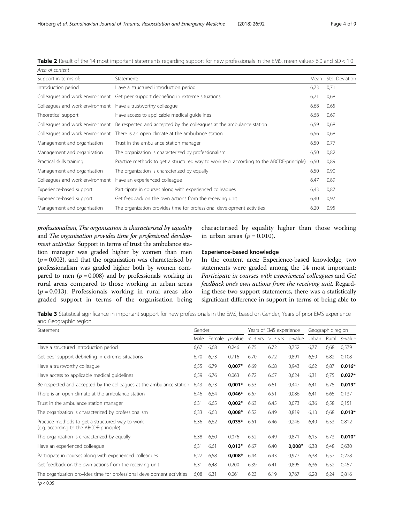| Area of content                                              |                                                                                                      |      |                |  |  |  |
|--------------------------------------------------------------|------------------------------------------------------------------------------------------------------|------|----------------|--|--|--|
| Support in terms of:                                         | Statement:<br>Mean                                                                                   |      | Std. Deviation |  |  |  |
| Introduction period                                          | Have a structured introduction period                                                                | 6,73 | 0,71           |  |  |  |
|                                                              | Colleagues and work environment Get peer support debriefing in extreme situations                    | 6,71 | 0,68           |  |  |  |
| Colleagues and work environment Have a trustworthy colleague |                                                                                                      | 6,68 | 0,65           |  |  |  |
| Theoretical support                                          | Have access to applicable medical quidelines                                                         | 6,68 | 0,69           |  |  |  |
|                                                              | Colleagues and work environment Be respected and accepted by the colleagues at the ambulance station | 6,59 | 0,68           |  |  |  |
|                                                              | Colleagues and work environment There is an open climate at the ambulance station                    | 6,56 | 0,68           |  |  |  |
| Management and organisation                                  | Trust in the ambulance station manager                                                               | 6,50 | 0,77           |  |  |  |
| Management and organisation                                  | The organization is characterized by professionalism                                                 | 6,50 | 0,82           |  |  |  |
| Practical skills training                                    | Practice methods to get a structured way to work (e.g. according to the ABCDE-principle)             | 6,50 | 0,89           |  |  |  |
| Management and organisation                                  | The organization is characterized by equally                                                         | 6,50 | 0,90           |  |  |  |
| Colleagues and work environment                              | Have an experienced colleague                                                                        | 6,47 | 0,89           |  |  |  |
| Experience-based support                                     | Participate in courses along with experienced colleagues                                             | 6,43 | 0,87           |  |  |  |
| Experience-based support                                     | Get feedback on the own actions from the receiving unit                                              | 6,40 | 0,97           |  |  |  |
| Management and organisation                                  | The organization provides time for professional development activities                               | 6,20 | 0,95           |  |  |  |

<span id="page-3-0"></span>Table 2 Result of the 14 most important statements regarding support for new professionals in the EMS, mean value> 6.0 and SD < 1.0

professionalism, The organisation is characterised by equality and The organisation provides time for professional development activities. Support in terms of trust the ambulance station manager was graded higher by women than men  $(p = 0.002)$ , and that the organisation was characterised by professionalism was graded higher both by women compared to men ( $p = 0.008$ ) and by professionals working in rural areas compared to those working in urban areas  $(p = 0.013)$ . Professionals working in rural areas also graded support in terms of the organisation being

characterised by equality higher than those working in urban areas ( $p = 0.010$ ).

#### Experience-based knowledge

In the content area; Experience-based knowledge, two statements were graded among the 14 most important: Participate in courses with experienced colleagues and Get feedback one's own actions from the receiving unit. Regarding these two support statements, there was a statistically significant difference in support in terms of being able to

Table 3 Statistical significance in important support for new professionals in the EMS, based on Gender, Years of prior EMS experience and Geographic region

| Statement                                                                                   | Gender |        |            | Years of EMS experience |                             | Geographic region |       |      |                       |
|---------------------------------------------------------------------------------------------|--------|--------|------------|-------------------------|-----------------------------|-------------------|-------|------|-----------------------|
|                                                                                             | Male   | Female | $p$ -value |                         | $<$ 3 yrs $>$ 3 yrs p-value |                   | Urban |      | Rural <i>p</i> -value |
| Have a structured introduction period                                                       | 6,67   | 6,68   | 0,246      | 6.75                    | 6,72                        | 0,752             | 6,77  | 6,68 | 0,579                 |
| Get peer support debriefing in extreme situations                                           | 6,70   | 6,73   | 0,716      | 6,70                    | 6,72                        | 0,891             | 6,59  | 6,82 | 0,108                 |
| Have a trustworthy colleague                                                                | 6,55   | 6,79   | $0,007*$   | 6,69                    | 6,68                        | 0,943             | 6,62  | 6,87 | $0,016*$              |
| Have access to applicable medical guidelines                                                | 6,59   | 6,76   | 0,063      | 6,72                    | 6,67                        | 0,624             | 6,31  | 6,75 | $0,027*$              |
| Be respected and accepted by the colleagues at the ambulance station                        | 6,43   | 6,73   | $0,001*$   | 6,53                    | 6,61                        | 0,447             | 6,41  | 6,75 | $0,019*$              |
| There is an open climate at the ambulance station                                           | 6,46   | 6,64   | $0,046*$   | 6,67                    | 6,51                        | 0,086             | 6,41  | 6,65 | 0,137                 |
| Trust in the ambulance station manager                                                      | 6.31   | 6,65   | $0,002*$   | 6,63                    | 6,45                        | 0,073             | 6,36  | 6,58 | 0,151                 |
| The organization is characterized by professionalism                                        | 6,33   | 6,63   | $0,008*$   | 6,52                    | 6,49                        | 0,819             | 6,13  | 6,68 | $0,013*$              |
| Practice methods to get a structured way to work<br>(e.g. according to the ABCDE-principle) | 6,36   | 6,62   | $0,035*$   | 6,61                    | 6,46                        | 0,246             | 6,49  | 6,53 | 0,812                 |
| The organization is characterized by equally                                                | 6,38   | 6,60   | 0,076      | 6,52                    | 6,49                        | 0,871             | 6,15  | 6,73 | $0,010*$              |
| Have an experienced colleague                                                               | 6,31   | 6,61   | $0,013*$   | 6,67                    | 6,40                        | $0,008*$          | 6,38  | 6,48 | 0,630                 |
| Participate in courses along with experienced colleagues                                    | 6,27   | 6,58   | $0,008*$   | 6,44                    | 6,43                        | 0,977             | 6,38  | 6,57 | 0,228                 |
| Get feedback on the own actions from the receiving unit                                     | 6,31   | 6,48   | 0,200      | 6,39                    | 6,41                        | 0,895             | 6,36  | 6,52 | 0,457                 |
| The organization provides time for professional development activities                      | 6,08   | 6,31   | 0,061      | 6,23                    | 6,19                        | 0,767             | 6,28  | 6,24 | 0,816                 |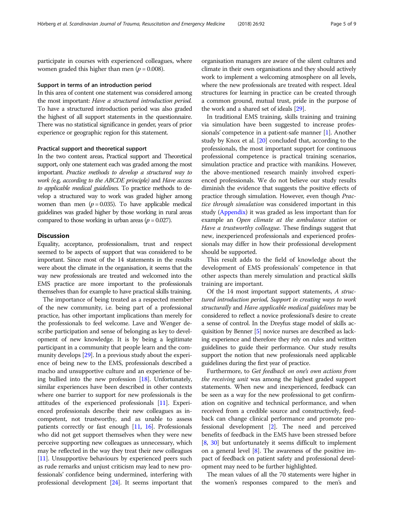participate in courses with experienced colleagues, where women graded this higher than men ( $p = 0.008$ ).

#### Support in terms of an introduction period

In this area of content one statement was considered among the most important: Have a structured introduction period. To have a structured introduction period was also graded the highest of all support statements in the questionnaire. There was no statistical significance in gender, years of prior experience or geographic region for this statement.

#### Practical support and theoretical support

In the two content areas, Practical support and Theoretical support, only one statement each was graded among the most important. Practice methods to develop a structured way to work (e.g. according to the ABCDE principle) and Have access to applicable medical guidelines. To practice methods to develop a structured way to work was graded higher among women than men ( $p = 0.035$ ). To have applicable medical guidelines was graded higher by those working in rural areas compared to those working in urban areas ( $p = 0.027$ ).

#### **Discussion**

Equality, acceptance, professionalism, trust and respect seemed to be aspects of support that was considered to be important. Since most of the 14 statements in the results were about the climate in the organisation, it seems that the way new professionals are treated and welcomed into the EMS practice are more important to the professionals themselves than for example to have practical skills training.

The importance of being treated as a respected member of the new community, i.e. being part of a professional practice, has other important implications than merely for the professionals to feel welcome. Lave and Wenger describe participation and sense of belonging as key to development of new knowledge. It is by being a legitimate participant in a community that people learn and the community develops [\[29](#page-8-0)]. In a previous study about the experience of being new to the EMS, professionals described a macho and unsupportive culture and an experience of being bullied into the new profession [\[18\]](#page-8-0). Unfortunately, similar experiences have been described in other contexts where one barrier to support for new professionals is the attitudes of the experienced professionals [\[11\]](#page-8-0). Experienced professionals describe their new colleagues as incompetent, not trustworthy, and as unable to assess patients correctly or fast enough [[11](#page-8-0), [16\]](#page-8-0). Professionals who did not get support themselves when they were new perceive supporting new colleagues as unnecessary, which may be reflected in the way they treat their new colleagues [[11](#page-8-0)]. Unsupportive behaviours by experienced peers such as rude remarks and unjust criticism may lead to new professionals' confidence being undermined, interfering with professional development [\[24\]](#page-8-0). It seems important that

organisation managers are aware of the silent cultures and climate in their own organisations and they should actively work to implement a welcoming atmosphere on all levels, where the new professionals are treated with respect. Ideal structures for learning in practice can be created through a common ground, mutual trust, pride in the purpose of the work and a shared set of ideals [[29](#page-8-0)].

In traditional EMS training, skills training and training via simulation have been suggested to increase professionals' competence in a patient-safe manner [\[1\]](#page-8-0). Another study by Knox et al. [[20](#page-8-0)] concluded that, according to the professionals, the most important support for continuous professional competence is practical training scenarios, simulation practice and practice with manikins. However, the above-mentioned research mainly involved experienced professionals. We do not believe our study results diminish the evidence that suggests the positive effects of practice through simulation. However, even though Practice through simulation was considered important in this study [\(Appendix](#page-6-0)) it was graded as less important than for example an Open climate at the ambulance station or Have a trustworthy colleague. These findings suggest that new, inexperienced professionals and experienced professionals may differ in how their professional development should be supported.

This result adds to the field of knowledge about the development of EMS professionals' competence in that other aspects than merely simulation and practical skills training are important.

Of the 14 most important support statements, A structured introduction period, Support in creating ways to work structurally and Have applicable medical guidelines may be considered to reflect a novice professional's desire to create a sense of control. In the Dreyfus stage model of skills acquisition by Benner [\[5](#page-8-0)] novice nurses are described as lacking experience and therefore they rely on rules and written guidelines to guide their performance. Our study results support the notion that new professionals need applicable guidelines during the first year of practice.

Furthermore, to Get feedback on one's own actions from the receiving unit was among the highest graded support statements. When new and inexperienced, feedback can be seen as a way for the new professional to get confirmation on cognitive and technical performance, and when received from a credible source and constructively, feedback can change clinical performance and promote professional development [\[2](#page-8-0)]. The need and perceived benefits of feedback in the EMS have been stressed before [[8,](#page-8-0) [30](#page-8-0)] but unfortunately it seems difficult to implement on a general level [[8](#page-8-0)]. The awareness of the positive impact of feedback on patient safety and professional development may need to be further highlighted.

The mean values of all the 70 statements were higher in the women's responses compared to the men's and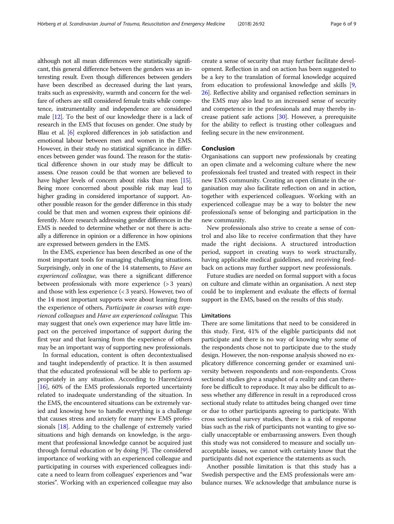although not all mean differences were statistically significant, this general difference between the genders was an interesting result. Even though differences between genders have been described as decreased during the last years, traits such as expressivity, warmth and concern for the welfare of others are still considered female traits while competence, instrumentality and independence are considered male [\[12](#page-8-0)]. To the best of our knowledge there is a lack of research in the EMS that focuses on gender. One study by Blau et al. [\[6\]](#page-8-0) explored differences in job satisfaction and emotional labour between men and women in the EMS. However, in their study no statistical significance in differences between gender was found. The reason for the statistical difference shown in our study may be difficult to assess. One reason could be that women are believed to have higher levels of concern about risks than men [\[15](#page-8-0)]. Being more concerned about possible risk may lead to higher grading in considered importance of support. Another possible reason for the gender difference in this study could be that men and women express their opinions differently. More research addressing gender differences in the EMS is needed to determine whether or not there is actually a difference in opinion or a difference in how opinions are expressed between genders in the EMS.

In the EMS, experience has been described as one of the most important tools for managing challenging situations. Surprisingly, only in one of the 14 statements, to Have an experienced colleague, was there a significant difference between professionals with more experience (> 3 years) and those with less experience (< 3 years). However, two of the 14 most important supports were about learning from the experience of others, Participate in courses with experienced colleagues and Have an experienced colleague. This may suggest that one's own experience may have little impact on the perceived importance of support during the first year and that learning from the experience of others may be an important way of supporting new professionals.

In formal education, content is often decontextualised and taught independently of practice. It is then assumed that the educated professional will be able to perform appropriately in any situation. According to Harenčárová [[16](#page-8-0)], 60% of the EMS professionals reported uncertainty related to inadequate understanding of the situation. In the EMS, the encountered situations can be extremely varied and knowing how to handle everything is a challenge that causes stress and anxiety for many new EMS professionals [[18](#page-8-0)]. Adding to the challenge of extremely varied situations and high demands on knowledge, is the argument that professional knowledge cannot be acquired just through formal education or by doing [\[9](#page-8-0)]. The considered importance of working with an experienced colleague and participating in courses with experienced colleagues indicate a need to learn from colleagues' experiences and "war stories". Working with an experienced colleague may also create a sense of security that may further facilitate development. Reflection in and on action has been suggested to be a key to the translation of formal knowledge acquired from education to professional knowledge and skills [[9](#page-8-0), [26](#page-8-0)]. Reflective ability and organised reflection seminars in the EMS may also lead to an increased sense of security and competence in the professionals and may thereby increase patient safe actions [\[30](#page-8-0)]. However, a prerequisite for the ability to reflect is trusting other colleagues and feeling secure in the new environment.

#### Conclusion

Organisations can support new professionals by creating an open climate and a welcoming culture where the new professionals feel trusted and treated with respect in their new EMS community. Creating an open climate in the organisation may also facilitate reflection on and in action, together with experienced colleagues. Working with an experienced colleague may be a way to bolster the new professional's sense of belonging and participation in the new community.

New professionals also strive to create a sense of control and also like to receive confirmation that they have made the right decisions. A structured introduction period, support in creating ways to work structurally, having applicable medical guidelines, and receiving feedback on actions may further support new professionals.

Future studies are needed on formal support with a focus on culture and climate within an organisation. A next step could be to implement and evaluate the effects of formal support in the EMS, based on the results of this study.

#### Limitations

There are some limitations that need to be considered in this study. First, 41% of the eligible participants did not participate and there is no way of knowing why some of the respondents chose not to participate due to the study design. However, the non-response analysis showed no explicatory difference concerning gender or examined university between respondents and non-respondents. Cross sectional studies give a snapshot of a reality and can therefore be difficult to reproduce. It may also be difficult to assess whether any difference in result in a reproduced cross sectional study relate to attitudes being changed over time or due to other participants agreeing to participate. With cross sectional survey studies, there is a risk of response bias such as the risk of participants not wanting to give socially unacceptable or embarrassing answers. Even though this study was not considered to measure and socially unacceptable issues, we cannot with certainty know that the participants did not experience the statements as such.

Another possible limitation is that this study has a Swedish perspective and the EMS professionals were ambulance nurses. We acknowledge that ambulance nurse is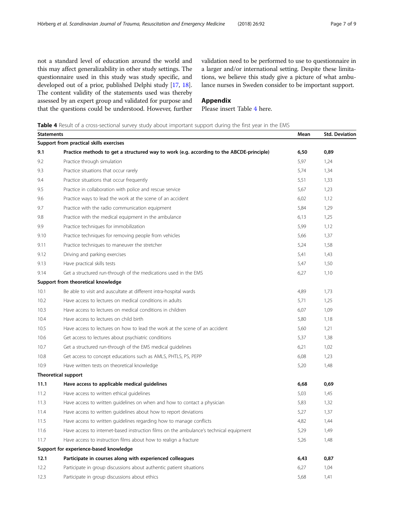<span id="page-6-0"></span>not a standard level of education around the world and this may affect generalizability in other study settings. The questionnaire used in this study was study specific, and developed out of a prior, published Delphi study [[17](#page-8-0), [18](#page-8-0)]. The content validity of the statements used was thereby assessed by an expert group and validated for purpose and that the questions could be understood. However, further

validation need to be performed to use to questionnaire in a larger and/or international setting. Despite these limitations, we believe this study give a picture of what ambulance nurses in Sweden consider to be important support.

#### Appendix

Please insert Table 4 here.

Table 4 Result of a cross-sectional survey study about important support during the first year in the EMS

| <b>Statements</b> |                                                                                          | Mean | <b>Std. Deviation</b> |
|-------------------|------------------------------------------------------------------------------------------|------|-----------------------|
|                   | Support from practical skills exercises                                                  |      |                       |
| 9.1               | Practice methods to get a structured way to work (e.g. according to the ABCDE-principle) | 6,50 | 0,89                  |
| 9.2               | Practice through simulation                                                              | 5,97 | 1,24                  |
| 9.3               | Practice situations that occur rarely                                                    | 5,74 | 1,34                  |
| 9.4               | Practice situations that occur frequently                                                | 5,51 | 1,33                  |
| 9.5               | Practice in collaboration with police and rescue service                                 | 5,67 | 1,23                  |
| 9.6               | Practice ways to lead the work at the scene of an accident                               | 6,02 | 1,12                  |
| 9.7               | Practice with the radio communication equipment                                          | 5,84 | 1,29                  |
| 9.8               | Practice with the medical equipment in the ambulance                                     | 6,13 | 1,25                  |
| 9.9               | Practice techniques for immobilization                                                   | 5,99 | 1,12                  |
| 9.10              | Practice techniques for removing people from vehicles                                    | 5,66 | 1,37                  |
| 9.11              | Practice techniques to maneuver the stretcher                                            | 5,24 | 1,58                  |
| 9.12              | Driving and parking exercises                                                            | 5,41 | 1,43                  |
| 9.13              | Have practical skills tests                                                              | 5,47 | 1,50                  |
| 9.14              | Get a structured run-through of the medications used in the EMS                          | 6,27 | 1,10                  |
|                   | Support from theoretical knowledge                                                       |      |                       |
| 10.1              | Be able to visit and auscultate at different intra-hospital wards                        | 4,89 | 1,73                  |
| 10.2              | Have access to lectures on medical conditions in adults                                  | 5,71 | 1,25                  |
| 10.3              | Have access to lectures on medical conditions in children                                | 6,07 | 1,09                  |
| 10.4              | Have access to lectures on child birth                                                   | 5,80 | 1,18                  |
| 10.5              | Have access to lectures on how to lead the work at the scene of an accident              | 5,60 | 1,21                  |
| 10.6              | Get access to lectures about psychiatric conditions                                      | 5,37 | 1,38                  |
| 10.7              | Get a structured run-through of the EMS medical guidelines                               | 6,21 | 1,02                  |
| 10.8              | Get access to concept educations such as AMLS, PHTLS, PS, PEPP                           | 6,08 | 1,23                  |
| 10.9              | Have written tests on theoretical knowledge                                              | 5,20 | 1,48                  |
|                   | Theoretical support                                                                      |      |                       |
| 11.1              | Have access to applicable medical guidelines                                             | 6,68 | 0,69                  |
| 11.2              | Have access to written ethical quidelines                                                | 5,03 | 1,45                  |
| 11.3              | Have access to written guidelines on when and how to contact a physician                 | 5,83 | 1,32                  |
| 11.4              | Have access to written guidelines about how to report deviations                         | 5,27 | 1,37                  |
| 11.5              | Have access to written guidelines regarding how to manage conflicts                      | 4,82 | 1,44                  |
| 11.6              | Have access to internet-based instruction films on the ambulance's technical equipment   | 5,29 | 1,49                  |
| 11.7              | Have access to instruction films about how to realign a fracture                         | 5,26 | 1,48                  |
|                   | Support for experience-based knowledge                                                   |      |                       |
| 12.1              | Participate in courses along with experienced colleagues                                 | 6,43 | 0,87                  |
| 12.2              | Participate in group discussions about authentic patient situations                      | 6,27 | 1,04                  |
| 12.3              | Participate in group discussions about ethics                                            | 5,68 | 1,41                  |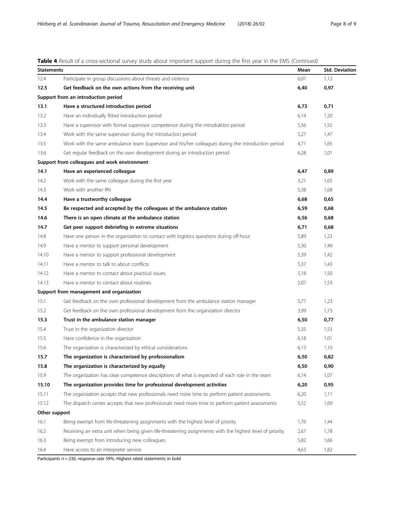| <b>Statements</b> |                                                                                                          | Mean | <b>Std. Deviation</b> |
|-------------------|----------------------------------------------------------------------------------------------------------|------|-----------------------|
| 12.4              | Participate in group discussions about threats and violence                                              | 6,07 | 1,12                  |
| 12.5              | Get feedback on the own actions from the receiving unit                                                  | 6,40 | 0,97                  |
|                   | Support from an introduction period                                                                      |      |                       |
| 13.1              | Have a structured introduction period                                                                    | 6,73 | 0,71                  |
| 13.2              | Have an individually fitted introduction period                                                          | 6,14 | 1,20                  |
| 13.3              | Have a supervisor with formal supervisor competence during the introduktion period                       | 5,56 | 1,55                  |
| 13.4              | Work with the same supervisor during the introduction period                                             | 5,27 | 1,47                  |
| 13.5              | Work with the same ambulance team (supervisor and his/her colleague) during the introduction period      | 4,71 | 1,65                  |
| 13.6              | Get regular feedback on the own development during an introduction period                                | 6,28 | 1,01                  |
|                   | Support from colleagues and work environment                                                             |      |                       |
| 14.1              | Have an experienced colleague                                                                            | 6,47 | 0,89                  |
| 14.2              | Work with the same colleague during the first year                                                       | 3,21 | 1,65                  |
| 14.3              | Work with another RN                                                                                     | 5,38 | 1,68                  |
| 14.4              | Have a trustworthy colleague                                                                             | 6,68 | 0,65                  |
| 14.5              | Be respected and accepted by the colleagues at the ambulance station                                     | 6,59 | 0,68                  |
| 14.6              | There is an open climate at the ambulance station                                                        | 6,56 | 0,68                  |
| 14.7              | Get peer support debriefing in extreme situations                                                        | 6,71 | 0,68                  |
| 14.8              | Have one person in the organization to contact with logistics questions during off-hour                  | 5,89 | 1,23                  |
| 14.9              | Have a mentor to support personal development                                                            | 5,30 | 1,49                  |
| 14.10             | Have a mentor to support professional development                                                        | 5,39 | 1,42                  |
| 14.11             | Have a mentor to talk to about conflicts                                                                 | 5,37 | 1,43                  |
| 14.12             | Have a mentor to contact about practical issues                                                          | 5,18 | 1,50                  |
| 14.13             | Have a mentor to contact about routines                                                                  | 5,07 | 1,53                  |
|                   | Support from management and organization                                                                 |      |                       |
| 15.1              | Get feedback on the own professional development from the ambulance station manager                      | 5,77 | 1,23                  |
| 15.2              | Get feedback on the own professional development from the organization director                          | 3,99 | 1,73                  |
| 15.3              | Trust in the ambulance station manager                                                                   | 6,50 | 0,77                  |
| 15.4              | Trust in the organization director                                                                       | 5,35 | 1,53                  |
| 15.5              | Have confidence in the organization                                                                      | 6,18 | 1,01                  |
| 15.6              | The organization is characterized by ethical considerations                                              | 6,13 | 1,10                  |
| 15.7              | The organization is characterized by professionalism                                                     | 6,50 | 0,82                  |
| 15.8              | The organization is characterized by equally                                                             | 6,50 | 0,90                  |
| 15.9              | The organization has clear competence descriptions of what is expected of each role in the team          | 6,14 | 1,07                  |
| 15.10             | The organization provides time for professional development activities                                   | 6,20 | 0,95                  |
| 15.11             | The organization accepts that new professionals need more time to perform patient assessments            | 6,20 | 1,11                  |
| 15.12             | The dispatch center accepts that new professionals need more time to perform patient assessments         | 5,52 | 1,69                  |
| Other support     |                                                                                                          |      |                       |
| 16.1              | Being exempt from life-threatening assignments with the highest level of priority                        | 1,76 | 1,44                  |
| 16.2              | Receiving an extra unit when being given life-threatening assignments with the highest level of priority | 2,67 | 1,78                  |
| 16.3              | Being exempt from introducing new colleagues                                                             | 5,82 | 1,66                  |
| 16.4              | Have access to an interpreter service                                                                    | 4,63 | 1,82                  |

Table 4 Result of a cross-sectional survey study about important support during the first year in the EMS (Continued)

Participants  $n = 230$ , response rate 59%. Highest rated statements in bold